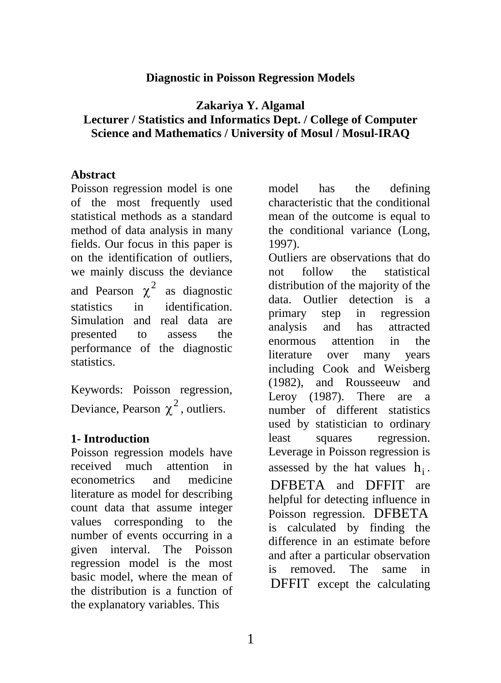#### **Diagnostic in Poisson Regression Models**

#### **Zakariya Y. Algamal Lecturer / Statistics and Informatics Dept. / College of Computer Science and Mathematics / University of Mosul / Mosul-IRAQ**

#### **Abstract**

Poisson regression model is one of the most frequently used statistical methods as a standard method of data analysis in many fields. Our focus in this paper is on the identification of outliers, we mainly discuss the deviance and Pearson  $\chi^2$  as diagnostic statistics in identification. Simulation and real data are presented to assess the performance of the diagnostic statistics.

Keywords: Poisson regression, Deviance, Pearson  $\chi^2$ , outliers.

#### **1- Introduction**

Poisson regression models have received much attention in econometrics and medicine literature as model for describing count data that assume integer values corresponding to the number of events occurring in a given interval. The Poisson regression model is the most basic model, where the mean of the distribution is a function of the explanatory variables. This

model has the defining characteristic that the conditional mean of the outcome is equal to the conditional variance (Long, 1997).

Outliers are observations that do not follow the statistical distribution of the majority of the data. Outlier detection is a primary step in regression analysis and has attracted enormous attention in the literature over many years including Cook and Weisberg (1982), and Rousseeuw and Leroy (1987). There are a number of different statistics used by statistician to ordinary least squares regression. Leverage in Poisson regression is assessed by the hat values  $h_i$ . DFBETA and DFFIT are helpful for detecting influence in Poisson regression. DFBETA is calculated by finding the difference in an estimate before and after a particular observation is removed. The same in DFFIT except the calculating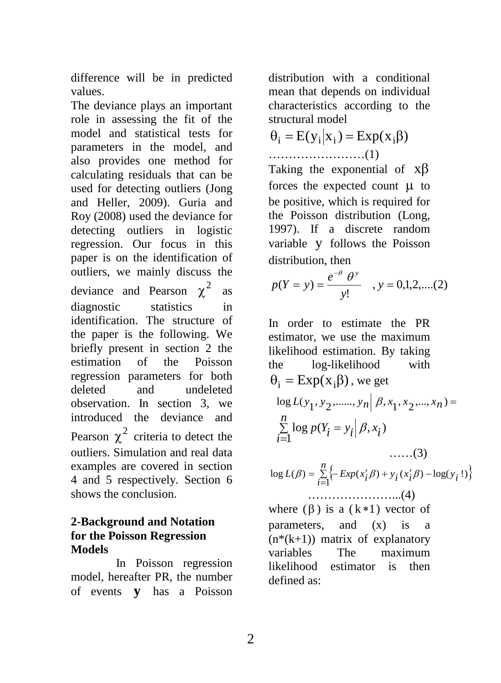difference will be in predicted values.

The deviance plays an important role in assessing the fit of the model and statistical tests for parameters in the model, and also provides one method for calculating residuals that can be used for detecting outliers (Jong and Heller, 2009). Guria and Roy (2008) used the deviance for detecting outliers in logistic regression. Our focus in this paper is on the identification of outliers, we mainly discuss the deviance and Pearson  $\chi^2$  as diagnostic statistics in identification. The structure of the paper is the following. We briefly present in section 2 the estimation of the Poisson regression parameters for both deleted and undeleted observation. In section 3, we introduced the deviance and Pearson  $\chi^2$  criteria to detect the outliers. Simulation and real data examples are covered in section 4 and 5 respectively. Section 6 shows the conclusion.

## **2-Background and Notation for the Poisson Regression Models**

In Poisson regression model, hereafter PR, the number of events **y** has a Poisson distribution with a conditional mean that depends on individual characteristics according to the structural model

$$
\theta_{i} = E(y_{i}|x_{i}) = Exp(x_{i}\beta)
$$

……………………(1)

Taking the exponential of xβ forces the expected count  $\mu$  to be positive, which is required for the Poisson distribution (Long, 1997). If a discrete random variable y follows the Poisson distribution, then

$$
p(Y = y) = \frac{e^{-\theta} \theta^{y}}{y!}
$$
, y = 0,1,2,...(2)

In order to estimate the PR  
estimator, we use the maximum  
likelihood estimation. By taking  
the log-likelihood with  

$$
\theta_i = \text{Exp}(x_i\beta)
$$
, we get  

$$
\log L(y_1, y_2, \dots, y_n | \beta, x_1, x_2, \dots, x_n) =
$$

$$
\sum_{i=1}^n \log p(Y_i = y_i | \beta, x_i)
$$
........(3)  

$$
\log L(\beta) = \sum_{i=1}^n \{-\text{Exp}(x_i'\beta) + y_i(x_i'\beta) - \log(y_i!)\}
$$

 …………………...(4) where  $(\beta)$  is a  $(k*1)$  vector of parameters, and (x) is a  $(n*(k+1))$  matrix of explanatory variables The maximum likelihood estimator is then defined as: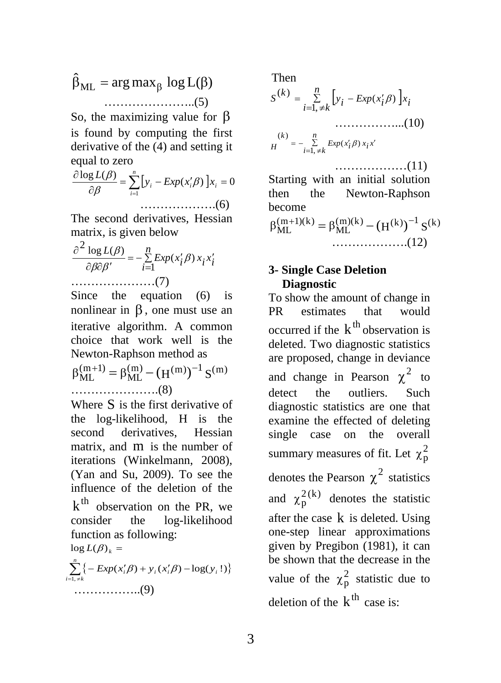$\hat{\beta}_{ML} = \arg \max_{\beta} \log L(\beta)$ …………………..(5)

So, the maximizing value for β is found by computing the first derivative of the (4) and setting it equal to zero

$$
\frac{\partial \log L(\beta)}{\partial \beta} = \sum_{i=1}^{n} \left[ y_i - Exp(x_i' \beta) \right] x_i = 0
$$
  
........(6)

The second derivatives, Hessian matrix, is given below

$$
\frac{\partial^2 \log L(\beta)}{\partial \beta \partial \beta'} = -\sum_{i=1}^n Exp(x_i' \beta) x_i x_i'
$$
  
............(7)

Since the equation (6) is nonlinear in  $\beta$ , one must use an iterative algorithm. A common choice that work well is the Newton-Raphson method as

$$
\beta_{ML}^{(m+1)} = \beta_{ML}^{(m)} - (H^{(m)})^{-1} S^{(m)}
$$
  
............(8)

Where S is the first derivative of the log-likelihood, H is the second derivatives, Hessian matrix, and m is the number of iterations (Winkelmann, 2008), (Yan and Su, 2009). To see the influence of the deletion of the  $k<sup>th</sup>$  observation on the PR, we consider the log-likelihood function as following:  $log L(\beta)_k =$ 

……………..(9)  $\sum_{i=1, \neq k}^{n} \left\{ - \exp(x_i' \beta) + y_i(x_i' \beta) - \log(y_i!) \right\}$  $\sum_{i=1, \neq k} \{-Exp(x_i'\beta) + y_i(x_i'\beta) - log(y_i)\}$  $(x_i'\beta) + y_i(x_i'\beta) - \log(y_i!)$ 

Then [ ] *<sup>i</sup> <sup>x</sup> <sup>n</sup> <sup>i</sup> <sup>k</sup> <sup>i</sup> Exp <sup>x</sup> <sup>i</sup> <sup>y</sup> <sup>k</sup> <sup>S</sup>* <sup>∑</sup> <sup>=</sup> <sup>≠</sup> <sup>=</sup> <sup>−</sup> ′ 1, ( ) ( ) <sup>β</sup> ……………...(10) *xi x n <sup>i</sup> <sup>k</sup> <sup>i</sup> Exp <sup>x</sup> <sup>H</sup> k* <sup>∑</sup> ′ <sup>=</sup> <sup>≠</sup> <sup>=</sup> <sup>−</sup> ′ 1, ( ) ( ) <sup>β</sup> ………………(11)

Starting with an initial solution then the Newton-Raphson become  $\beta_{ML}^{(m+1)(k)} = \beta_{ML}^{(m)(k)} - (H^{(k)})^{-1} S^{(k)}$ ……………….(12)

## **3- Single Case Deletion Diagnostic**

To show the amount of change in PR estimates that would occurred if the  $k^{th}$  observation is deleted. Two diagnostic statistics are proposed, change in deviance and change in Pearson  $\chi^2$  to detect the outliers. Such diagnostic statistics are one that examine the effected of deleting single case on the overall summary measures of fit. Let  $\chi^2$ denotes the Pearson  $\chi^2$  statistics and  $\chi_p^{2(k)}$  denotes the statistic after the case  $k$  is deleted. Using one-step linear approximations given by Pregibon (1981), it can be shown that the decrease in the value of the  $\chi_p^2$  statistic due to deletion of the  $k^{\text{th}}$  case is: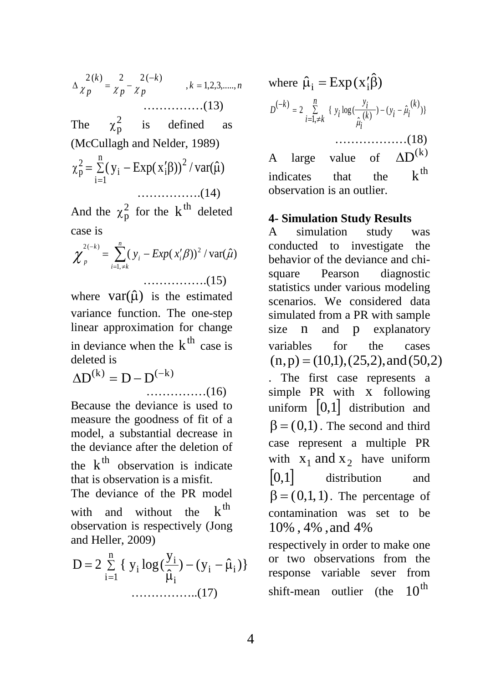*<sup>k</sup> <sup>n</sup> <sup>k</sup> p p k <sup>p</sup>* , 1,2,3,....., <sup>2</sup> ( ) <sup>2</sup> <sup>2</sup> ( ) <sup>=</sup> <sup>−</sup> <sup>∆</sup> <sup>=</sup> <sup>−</sup> <sup>χ</sup> <sup>χ</sup> <sup>χ</sup> ……………(13)

The  $\chi_p^2$  is defined as (McCullagh and Nelder, 1989)

$$
\chi_p^2 = \sum_{i=1}^n (y_i - \text{Exp}(x_i' \beta))^2 / \text{var}(\hat{\mu})
$$
  
............(14)

And the  $\chi_p^2$  for the  $k^{\text{th}}$  deleted case is

$$
\chi_{p}^{2(-k)} = \sum_{i=1,\neq k}^{n} (y_i - Exp(x_i'\beta))^2 / \text{var}(\hat{\mu})
$$

where  $var(\hat{\mu})$  is the estimated variance function. The one-step linear approximation for change in deviance when the  $k^{th}$  case is deleted is

 $\Delta D^{(k)} = D - D^{(-k)}$ ……………(16)

Because the deviance is used to measure the goodness of fit of a model, a substantial decrease in the deviance after the deletion of the  $k^{\text{th}}$  observation is indicate that is observation is a misfit.

The deviance of the PR model with and without the  $k^{th}$ observation is respectively (Jong and Heller, 2009)

$$
D = 2 \sum_{i=1}^{n} \{ y_i \log(\frac{y_i}{\hat{\mu}_i}) - (y_i - \hat{\mu}_i) \}
$$
  
.................(17)

where )ˆ <sup>µ</sup>ˆi <sup>=</sup> Exp(x′ i β )} ( ) ) ( <sup>ˆ</sup> 1, ( ) <sup>ˆ</sup> <sup>2</sup> { log ( ( ) *<sup>k</sup> <sup>i</sup> <sup>i</sup> <sup>y</sup> n <sup>i</sup> <sup>k</sup> <sup>k</sup> i i y i y <sup>k</sup> <sup>D</sup>* <sup>µ</sup> µ ∑ − − <sup>=</sup> <sup>≠</sup> <sup>=</sup> <sup>−</sup> ………………(18)

A large value of  $\Delta D^{(k)}$ indicates that the  $k^{th}$ observation is an outlier.

## **4- Simulation Study Results**

A simulation study was conducted to investigate the behavior of the deviance and chisquare Pearson diagnostic statistics under various modeling scenarios. We considered data simulated from a PR with sample size n and p explanatory variables for the cases  $(n,p) = (10,1), (25,2), and (50,2)$ 

. The first case represents a simple PR with x following uniform  $\vert 0,1 \vert$  distribution and  $\beta = (0,1)$ . The second and third case represent a multiple PR with  $x_1$  and  $x_2$  have uniform [0,1] distribution and  $\beta = (0,1,1)$ . The percentage of contamination was set to be 10% , 4% ,and 4% respectively in order to make one

or two observations from the response variable sever from shift-mean outlier (the  $10^{th}$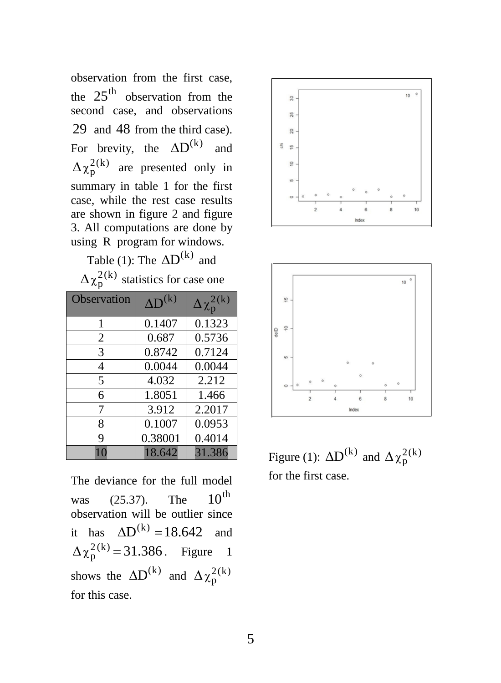observation from the first case, the  $25<sup>th</sup>$  observation from the second case, and observations 29 and 48 from the third case). For brevity, the  $\Delta D^{(k)}$  and  $\Delta \chi_p^{2(k)}$  are presented only in summary in table 1 for the first case, while the rest case results are shown in figure 2 and figure 3. All computations are done by using R program for windows.

Table (1): The  $AD<sup>(k)</sup>$  and

 $\Delta \chi_p^{2(k)}$  statistics for case one

| Observation    | $AD^{(k)}$ | $\Delta\chi_{\rm p}^{2({\rm k})}$ |
|----------------|------------|-----------------------------------|
| 1              | 0.1407     | 0.1323                            |
| $\overline{2}$ | 0.687      | 0.5736                            |
| 3              | 0.8742     | 0.7124                            |
| $\overline{4}$ | 0.0044     | 0.0044                            |
| 5              | 4.032      | 2.212                             |
| 6              | 1.8051     | 1.466                             |
| 7              | 3.912      | 2.2017                            |
| 8              | 0.1007     | 0.0953                            |
| 9              | 0.38001    | 0.4014                            |
| 10             | 18.642     | 31.386                            |

The deviance for the full model was  $(25.37)$ . The  $10^{th}$ observation will be outlier since it has  $\Delta D^{(k)} = 18.642$  and  $\Delta \chi_p^{2(k)} = 31.386$ . Figure 1 shows the  $\Delta D^{(k)}$  and  $\Delta \chi_p^{2(k)}$ for this case.





Figure (1):  $\Delta D^{(k)}$  and  $\Delta \chi_p^{2(k)}$ for the first case.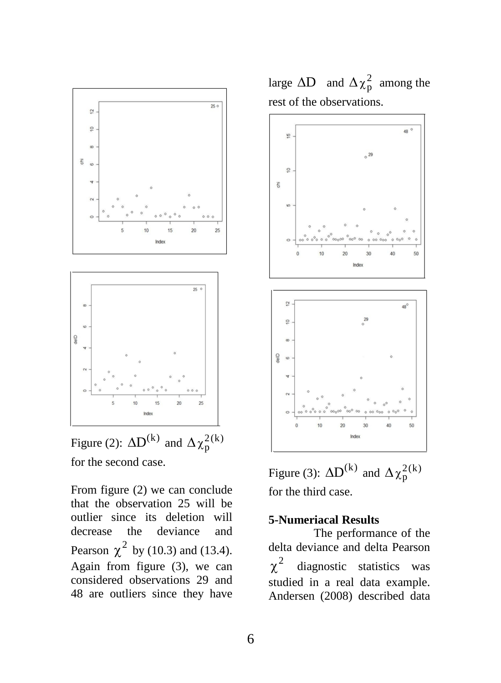

Figure (2):  $\Delta D^{(k)}$  and  $\Delta \chi_p^{2(k)}$ for the second case.

From figure (2) we can conclude that the observation 25 will be outlier since its deletion will decrease the deviance and Pearson  $\chi^2$  by (10.3) and (13.4). Again from figure (3), we can considered observations 29 and 48 are outliers since they have

large  $\Delta D$  and  $\Delta \chi_p^2$  among the rest of the observations.



Figure (3):  $\Delta D^{(k)}$  and  $\Delta \chi_p^{2(k)}$ for the third case.

#### **5-Numeriacal Results**

The performance of the delta deviance and delta Pearson  $\chi^2$  diagnostic statistics was studied in a real data example. Andersen (2008) described data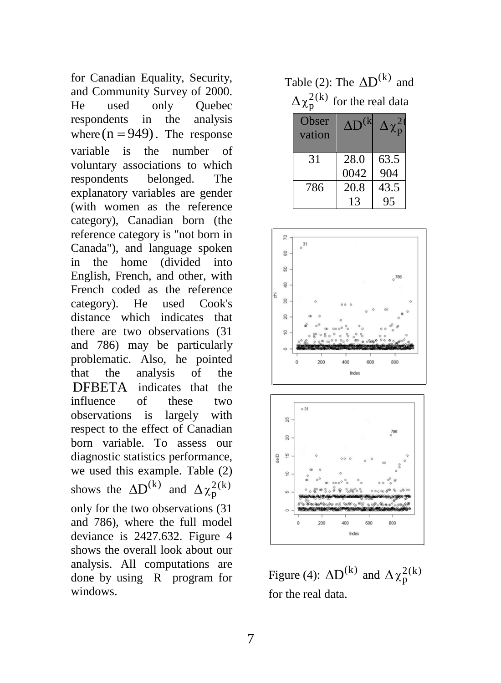for Canadian Equality, Security, and Community Survey of 2000. He used only Quebec respondents in the analysis where  $(n = 949)$ . The response variable is the number of voluntary associations to which respondents belonged. The explanatory variables are gender (with women as the reference category), Canadian born (the reference category is "not born in Canada"), and language spoken in the home (divided into English, French, and other, with French coded as the reference category). He used Cook's distance which indicates that there are two observations (31 and 786) may be particularly problematic. Also, he pointed that the analysis of the DFBETA indicates that the influence of these two observations is largely with respect to the effect of Canadian born variable. To assess our diagnostic statistics performance, we used this example. Table (2) shows the  $\Delta D^{(k)}$  and  $\Delta \chi_p^{2(k)}$ only for the two observations (31 and 786), where the full model deviance is 2427.632. Figure 4 shows the overall look about our analysis. All computations are done by using R program for windows.

Table (2): The  $AD<sup>(k)</sup>$  and  $\Delta\chi_{\rm p}^{2\,(\rm k)}$  for the real data

| Obser<br>vation | AD <sup>(k)</sup> | $\Delta\chi^2_{\rm p}$ |
|-----------------|-------------------|------------------------|
| 31              | 28.0              | 63.5                   |
|                 | 0042              | 904                    |
| 786             | 20.8              | 43.5                   |
|                 | 13                | 95                     |





Figure (4):  $\Delta D^{(k)}$  and  $\Delta \chi_p^{2(k)}$ for the real data.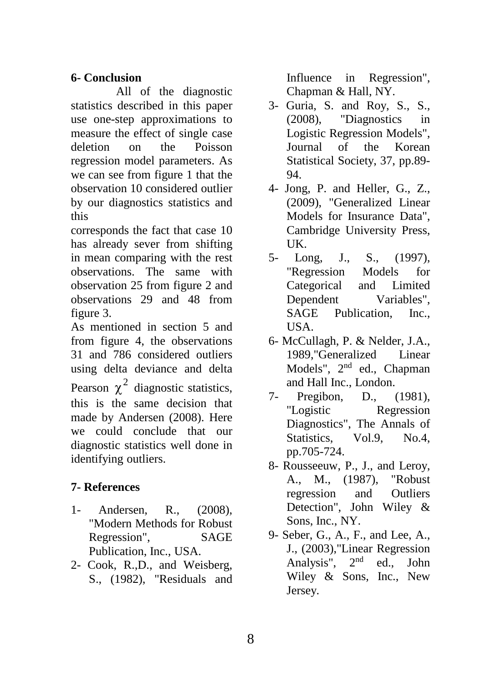## **6- Conclusion**

All of the diagnostic statistics described in this paper use one-step approximations to measure the effect of single case deletion on the Poisson regression model parameters. As we can see from figure 1 that the observation 10 considered outlier by our diagnostics statistics and this

corresponds the fact that case 10 has already sever from shifting in mean comparing with the rest observations. The same with observation 25 from figure 2 and observations 29 and 48 from figure 3.

As mentioned in section 5 and from figure 4, the observations 31 and 786 considered outliers using delta deviance and delta Pearson  $\chi^2$  diagnostic statistics, this is the same decision that made by Andersen (2008). Here we could conclude that our diagnostic statistics well done in identifying outliers.

# **7- References**

- 1- Andersen, R., (2008), "Modern Methods for Robust Regression", SAGE Publication, Inc., USA.
- 2- Cook, R.,D., and Weisberg, S., (1982), "Residuals and

Influence in Regression", Chapman & Hall, NY.

- 3- Guria, S. and Roy, S., S., (2008), "Diagnostics in Logistic Regression Models", Journal of the Korean Statistical Society, 37, pp.89- 94.
- 4- Jong, P. and Heller, G., Z., (2009), "Generalized Linear Models for Insurance Data", Cambridge University Press, UK.
- 5- Long, J., S., (1997), "Regression Models for Categorical and Limited Dependent Variables", SAGE Publication, Inc., USA.
- 6- McCullagh, P. & Nelder, J.A., 1989,"Generalized Linear Models", 2<sup>nd</sup> ed., Chapman and Hall Inc., London.
- 7- Pregibon, D., (1981), "Logistic Regression Diagnostics", The Annals of Statistics, Vol.9, No.4, pp.705-724.
- 8- Rousseeuw, P., J., and Leroy, A., M., (1987), "Robust regression and Outliers Detection", John Wiley & Sons, Inc., NY.
- 9- Seber, G., A., F., and Lee, A., J., (2003),"Linear Regression Analysis",  $2<sup>nd</sup>$  ed., John Wiley & Sons, Inc., New Jersey.